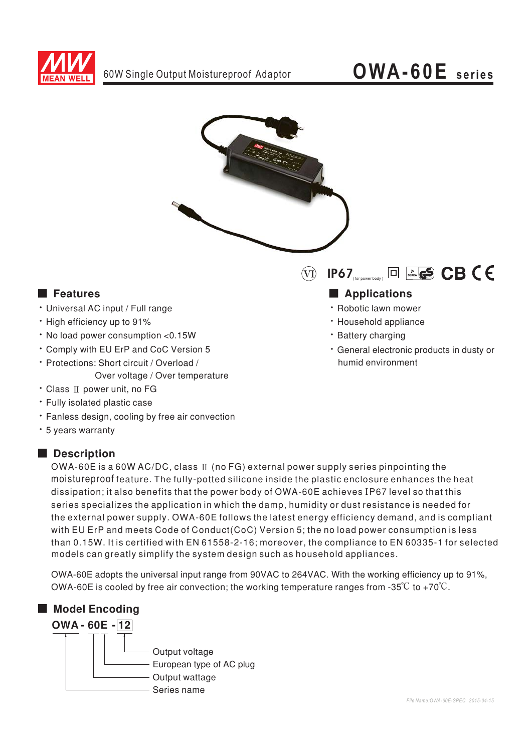



### ■ **Features**

- · Universal AC input / Full range
- $\cdot$  High efficiency up to 91%
- $\cdot$  No load power consumption < 0.15 W
- Comply with EU ErP and CoC Version 5
- · Protections: Short circuit / Overload / Over voltage / Over temperature
- · Class ∏ power unit, no FG
- Fully isolated plastic case
- · Fanless design, cooling by free air convection
- \* 5 years warranty

#### ■ Description



### 

- · Robotic lawn mower
- · Household appliance
- · Battery charging
- · General electronic products in dusty or humid environment

OWA-60E is a 60W AC/DC, class  $\mathbb I$  (no FG) external power supply series pinpointing the moistureproof feature. The fully-potted silicone inside the plastic enclosure enhances the heat dissipation; it also benefits that the power body of OWA-60E achieves IP67 level so that this series specializes the application in which the damp, humidity or dust resistance is needed for the external power supply. OWA-60E follows the latest energy efficiency demand, and is compliant with EU ErP and meets Code of Conduct(CoC) Version 5; the no load power consumption is less than 0.15W. It is certified with EN 61558-2-16; moreover, the compliance to EN 60335-1 for selected models can greatly simplify the system design such as household appliances.

OWA-60E adopts the universal input range from 90VAC to 264VAC. With the working efficiency up to 91%, OWA-60E is cooled by free air convection; the working temperature ranges from -35 $^{\circ}\textrm{C}$  to +70 $^{\circ}\textrm{C}$  .

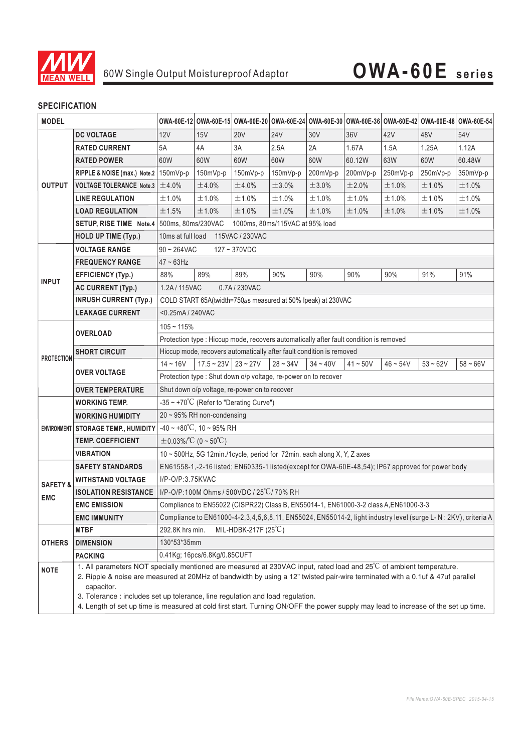

### 60W Single Output Moistureproof Adaptor **OWA-60E series**

### **SPECIFICATION**

| <b>MODEL</b>                      |                                                                                                                                                                                                                                                                    |                                                                                                                 |                       |            |            |            |            |            |            | OWA-60E-12 OWA-60E-15 OWA-60E-20 OWA-60E-24 OWA-60E-30 OWA-60E-36 OWA-60E-42 OWA-60E-48 OWA-60E-54 |
|-----------------------------------|--------------------------------------------------------------------------------------------------------------------------------------------------------------------------------------------------------------------------------------------------------------------|-----------------------------------------------------------------------------------------------------------------|-----------------------|------------|------------|------------|------------|------------|------------|----------------------------------------------------------------------------------------------------|
| <b>OUTPUT</b>                     | <b>DC VOLTAGE</b>                                                                                                                                                                                                                                                  | 12V                                                                                                             | 15V                   | <b>20V</b> | <b>24V</b> | 30V        | 36V        | 42V        | 48V        | 54V                                                                                                |
|                                   | <b>RATED CURRENT</b>                                                                                                                                                                                                                                               | 5A                                                                                                              | 4A                    | 3A         | 2.5A       | 2A         | 1.67A      | 1.5A       | 1.25A      | 1.12A                                                                                              |
|                                   | <b>RATED POWER</b>                                                                                                                                                                                                                                                 | 60W                                                                                                             | 60W                   | 60W        | 60W        | 60W        | 60.12W     | 63W        | 60W        | 60.48W                                                                                             |
|                                   | RIPPLE & NOISE (max.) Note.2   150mVp-p                                                                                                                                                                                                                            |                                                                                                                 | 150mVp-p              | 150mVp-p   | 150mVp-p   | 200mVp-p   | 200mVp-p   | 250mVp-p   | 250mVp-p   | 350mVp-p                                                                                           |
|                                   | <b>VOLTAGE TOLERANCE Note.3</b>                                                                                                                                                                                                                                    | ±4.0%                                                                                                           | ±4.0%                 | ±4.0%      | ±3.0%      | ±3.0%      | ±2.0%      | ±1.0%      | ±1.0%      | ±1.0%                                                                                              |
|                                   | <b>LINE REGULATION</b>                                                                                                                                                                                                                                             | ±1.0%                                                                                                           | ±1.0%                 | ±1.0%      | ±1.0%      | ±1.0%      | ±1.0%      | ±1.0%      | ±1.0%      | ±1.0%                                                                                              |
|                                   | <b>LOAD REGULATION</b>                                                                                                                                                                                                                                             | ±1.5%                                                                                                           | ±1.0%                 | ±1.0%      | ±1.0%      | ±1.0%      | ±1.0%      | ±1.0%      | ±1.0%      | ±1.0%                                                                                              |
|                                   | SETUP, RISE TIME Note.4   500ms, 80ms/230VAC                                                                                                                                                                                                                       | 1000ms, 80ms/115VAC at 95% load                                                                                 |                       |            |            |            |            |            |            |                                                                                                    |
|                                   | <b>HOLD UP TIME (Typ.)</b>                                                                                                                                                                                                                                         | 10ms at full load<br>115VAC / 230VAC                                                                            |                       |            |            |            |            |            |            |                                                                                                    |
| <b>INPUT</b>                      | <b>VOLTAGE RANGE</b>                                                                                                                                                                                                                                               | $90 - 264$ VAC<br>127~370VDC                                                                                    |                       |            |            |            |            |            |            |                                                                                                    |
|                                   | <b>FREQUENCY RANGE</b>                                                                                                                                                                                                                                             | $47 \sim 63$ Hz                                                                                                 |                       |            |            |            |            |            |            |                                                                                                    |
|                                   | <b>EFFICIENCY (Typ.)</b>                                                                                                                                                                                                                                           | 88%                                                                                                             | 89%                   | 89%        | 90%        | 90%        | 90%        | 90%        | 91%        | 91%                                                                                                |
|                                   | <b>AC CURRENT (Typ.)</b>                                                                                                                                                                                                                                           | 1.2A / 115VAC<br>0.7A/230VAC                                                                                    |                       |            |            |            |            |            |            |                                                                                                    |
|                                   | <b>INRUSH CURRENT (Typ.)</b>                                                                                                                                                                                                                                       | COLD START 65A(twidth=750 $\mu$ s measured at 50% Ipeak) at 230VAC                                              |                       |            |            |            |            |            |            |                                                                                                    |
|                                   | <b>LEAKAGE CURRENT</b>                                                                                                                                                                                                                                             | <0.25mA / 240VAC                                                                                                |                       |            |            |            |            |            |            |                                                                                                    |
| <b>PROTECTION</b>                 |                                                                                                                                                                                                                                                                    | $105 - 115%$                                                                                                    |                       |            |            |            |            |            |            |                                                                                                    |
|                                   | <b>OVERLOAD</b>                                                                                                                                                                                                                                                    | Protection type : Hiccup mode, recovers automatically after fault condition is removed                          |                       |            |            |            |            |            |            |                                                                                                    |
|                                   | <b>SHORT CIRCUIT</b>                                                                                                                                                                                                                                               | Hiccup mode, recovers automatically after fault condition is removed                                            |                       |            |            |            |            |            |            |                                                                                                    |
|                                   | <b>OVER VOLTAGE</b>                                                                                                                                                                                                                                                | $14 - 16V$                                                                                                      | $17.5 - 23V$ 23 ~ 27V |            | $28 - 34V$ | $34 - 40V$ | $41 - 50V$ | $46 - 54V$ | $53 - 62V$ | $58 - 66V$                                                                                         |
|                                   |                                                                                                                                                                                                                                                                    | Protection type : Shut down o/p voltage, re-power on to recover                                                 |                       |            |            |            |            |            |            |                                                                                                    |
|                                   | <b>OVER TEMPERATURE</b>                                                                                                                                                                                                                                            | Shut down o/p voltage, re-power on to recover                                                                   |                       |            |            |            |            |            |            |                                                                                                    |
|                                   | <b>WORKING TEMP.</b>                                                                                                                                                                                                                                               | $-35 \sim +70^{\circ}$ C (Refer to "Derating Curve")                                                            |                       |            |            |            |            |            |            |                                                                                                    |
|                                   | <b>WORKING HUMIDITY</b>                                                                                                                                                                                                                                            | 20 ~ 95% RH non-condensing                                                                                      |                       |            |            |            |            |            |            |                                                                                                    |
|                                   | ENVIRONMENT   STORAGE TEMP., HUMIDITY                                                                                                                                                                                                                              | $-40 \sim +80^{\circ}$ C, 10 ~ 95% RH                                                                           |                       |            |            |            |            |            |            |                                                                                                    |
|                                   | <b>TEMP. COEFFICIENT</b>                                                                                                                                                                                                                                           | $\pm$ 0.03%/°C (0 ~ 50°C)                                                                                       |                       |            |            |            |            |            |            |                                                                                                    |
|                                   | <b>VIBRATION</b>                                                                                                                                                                                                                                                   | 10 ~ 500Hz, 5G 12min./1cycle, period for 72min. each along X, Y, Z axes                                         |                       |            |            |            |            |            |            |                                                                                                    |
| <b>SAFETY &amp;</b><br><b>EMC</b> | <b>SAFETY STANDARDS</b>                                                                                                                                                                                                                                            | EN61558-1,-2-16 listed; EN60335-1 listed(except for OWA-60E-48,54); IP67 approved for power body                |                       |            |            |            |            |            |            |                                                                                                    |
|                                   | <b>WITHSTAND VOLTAGE</b>                                                                                                                                                                                                                                           | I/P-O/P:3.75KVAC                                                                                                |                       |            |            |            |            |            |            |                                                                                                    |
|                                   | <b>ISOLATION RESISTANCE</b>                                                                                                                                                                                                                                        | I/P-O/P:100M Ohms / 500VDC / 25°C/70% RH                                                                        |                       |            |            |            |            |            |            |                                                                                                    |
|                                   | <b>EMC EMISSION</b>                                                                                                                                                                                                                                                | Compliance to EN55022 (CISPR22) Class B, EN55014-1, EN61000-3-2 class A, EN61000-3-3                            |                       |            |            |            |            |            |            |                                                                                                    |
|                                   | <b>EMC IMMUNITY</b>                                                                                                                                                                                                                                                | Compliance to EN61000-4-2,3,4,5,6,8,11, EN55024, EN55014-2, light industry level (surge L- N : 2KV), criteria A |                       |            |            |            |            |            |            |                                                                                                    |
| <b>OTHERS</b>                     | <b>MTBF</b>                                                                                                                                                                                                                                                        | MIL-HDBK-217F (25°C)<br>292.8K hrs min.                                                                         |                       |            |            |            |            |            |            |                                                                                                    |
|                                   | <b>DIMENSION</b>                                                                                                                                                                                                                                                   | 130*53*35mm                                                                                                     |                       |            |            |            |            |            |            |                                                                                                    |
|                                   | <b>PACKING</b>                                                                                                                                                                                                                                                     | 0.41Kg; 16pcs/6.8Kg/0.85CUFT                                                                                    |                       |            |            |            |            |            |            |                                                                                                    |
| <b>NOTE</b>                       | 1. All parameters NOT specially mentioned are measured at 230VAC input, rated load and 25°C of ambient temperature.<br>2. Ripple & noise are measured at 20MHz of bandwidth by using a 12" twisted pair-wire terminated with a 0.1uf & 47uf parallel<br>capacitor. |                                                                                                                 |                       |            |            |            |            |            |            |                                                                                                    |
|                                   | 3. Tolerance : includes set up tolerance, line regulation and load regulation.<br>4. Length of set up time is measured at cold first start. Turning ON/OFF the power supply may lead to increase of the set up time.                                               |                                                                                                                 |                       |            |            |            |            |            |            |                                                                                                    |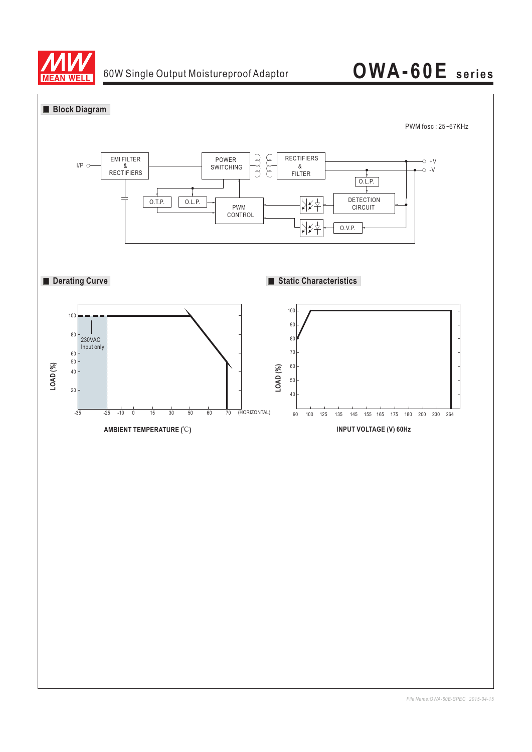

# 60W Single Output Moistureproof Adaptor **OWA-60E series**